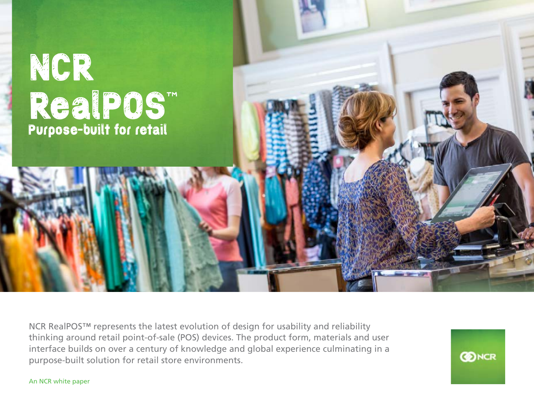

NCR RealPOS™ represents the latest evolution of design for usability and reliability thinking around retail point-of-sale (POS) devices. The product form, materials and user interface builds on over a century of knowledge and global experience culminating in a purpose-built solution for retail store environments.

**CONCR** 

An NCR white paper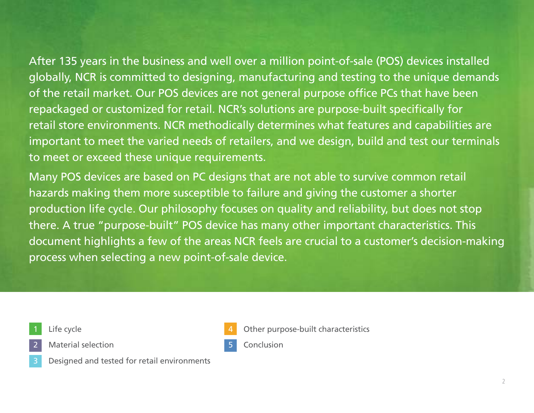After 135 years in the business and well over a million point-of-sale (POS) devices installed globally, NCR is committed to designing, manufacturing and testing to the unique demands of the retail market. Our POS devices are not general purpose office PCs that have been repackaged or customized for retail. NCR's solutions are purpose-built specifically for retail store environments. NCR methodically determines what features and capabilities are important to meet the varied needs of retailers, and we design, build and test our terminals to meet or exceed these unique requirements.

Many POS devices are based on PC designs that are not able to survive common retail hazards making them more susceptible to failure and giving the customer a shorter production life cycle. Our philosophy focuses on quality and reliability, but does not stop there. A true "purpose-built" POS device has many other important characteristics. This document highlights a few of the areas NCR feels are crucial to a customer's decision-making process when selecting a new point-of-sale device.

Life cycle

Material selection





Other purpose-built characteristics

**Conclusion**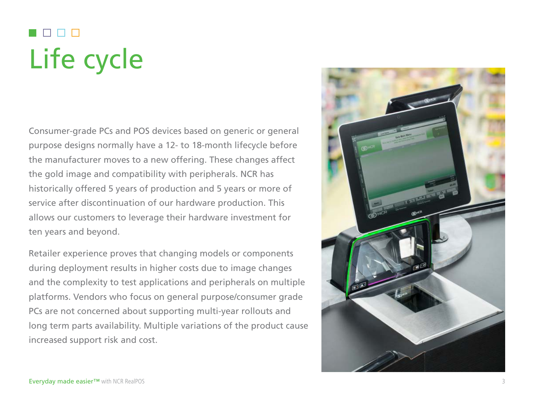# Life cycle

Consumer-grade PCs and POS devices based on generic or general purpose designs normally have a 12- to 18-month lifecycle before the manufacturer moves to a new offering. These changes affect the gold image and compatibility with peripherals. NCR has historically offered 5 years of production and 5 years or more of service after discontinuation of our hardware production. This allows our customers to leverage their hardware investment for ten years and beyond.

Retailer experience proves that changing models or components during deployment results in higher costs due to image changes and the complexity to test applications and peripherals on multiple platforms. Vendors who focus on general purpose/consumer grade PCs are not concerned about supporting multi-year rollouts and long term parts availability. Multiple variations of the product cause increased support risk and cost.

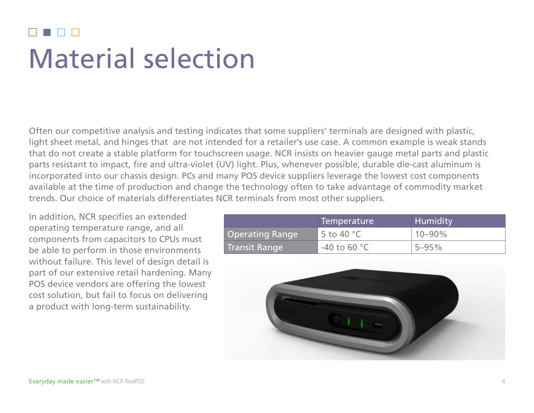#### Material selection

Often our competitive analysis and testing indicates that some suppliers' terminals are designed with plastic, light sheet metal, and hinges that are not intended for a retailer's use case. A common example is weak stands that do not create a stable platform for touchscreen usage. NCR insists on heavier gauge metal parts and plastic parts resistant to impact, fire and ultra-violet (UV) light. Plus, whenever possible, durable die-cast aluminum is incorporated into our chassis design. PCs and many POS device suppliers leverage the lowest cost components available at the time of production and change the technology often to take advantage of commodity market trends. Our choice of materials differentiates NCR terminals from most other suppliers.

In addition, NCR specifies an extended operating temperature range, and all components from capacitors to CPUs must be able to perform in those environments without failure. This level of design detail is part of our extensive retail hardening. Many POS device vendors are offering the lowest cost solution, but fail to focus on delivering a product with long-term sustainability.

|                        | Temperature            | Humidity    |
|------------------------|------------------------|-------------|
| <b>Operating Range</b> | 5 to 40 $^{\circ}$ C   | $10 - 90\%$ |
| Transit Range          | -40 to 60 $^{\circ}$ C | $5 - 95\%$  |

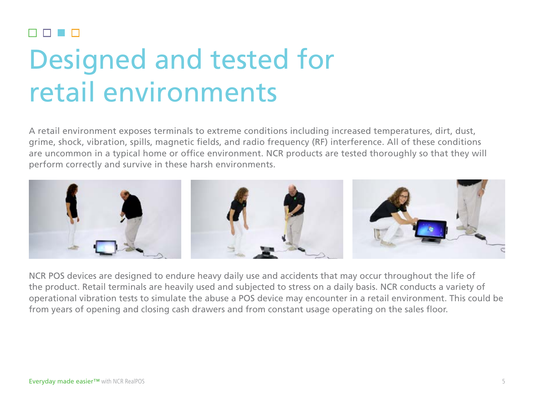# Designed and tested for retail environments

A retail environment exposes terminals to extreme conditions including increased temperatures, dirt, dust, grime, shock, vibration, spills, magnetic fields, and radio frequency (RF) interference. All of these conditions are uncommon in a typical home or office environment. NCR products are tested thoroughly so that they will perform correctly and survive in these harsh environments.



NCR POS devices are designed to endure heavy daily use and accidents that may occur throughout the life of the product. Retail terminals are heavily used and subjected to stress on a daily basis. NCR conducts a variety of operational vibration tests to simulate the abuse a POS device may encounter in a retail environment. This could be from years of opening and closing cash drawers and from constant usage operating on the sales floor.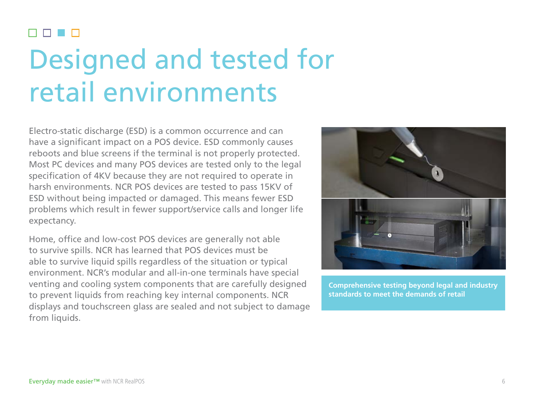#### n n n Designed and tested for retail environments

Electro-static discharge (ESD) is a common occurrence and can have a significant impact on a POS device. ESD commonly causes reboots and blue screens if the terminal is not properly protected. Most PC devices and many POS devices are tested only to the legal specification of 4KV because they are not required to operate in harsh environments. NCR POS devices are tested to pass 15KV of ESD without being impacted or damaged. This means fewer ESD problems which result in fewer support/service calls and longer life expectancy.

Home, office and low-cost POS devices are generally not able to survive spills. NCR has learned that POS devices must be able to survive liquid spills regardless of the situation or typical environment. NCR's modular and all-in-one terminals have special venting and cooling system components that are carefully designed to prevent liquids from reaching key internal components. NCR displays and touchscreen glass are sealed and not subject to damage from liquids.



**Comprehensive testing beyond legal and industry standards to meet the demands of retail**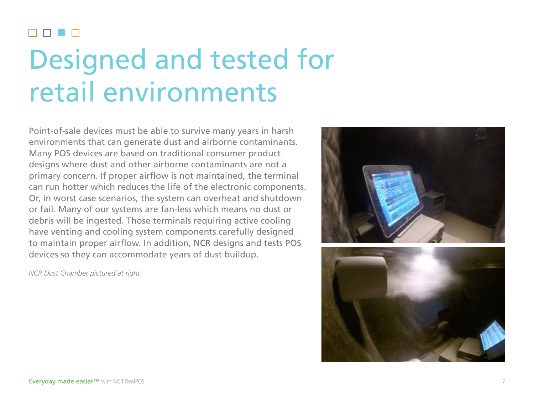#### **The Company** Designed and tested for retail environments

Point-of-sale devices must be able to survive many years in harsh environments that can generate dust and airborne contaminants. Many POS devices are based on traditional consumer product designs where dust and other airborne contaminants are not a primary concern. If proper airflow is not maintained, the terminal can run hotter which reduces the life of the electronic components. Or, in worst case scenarios, the system can overheat and shutdown or fail. Many of our systems are fan-less which means no dust or debris will be ingested. Those terminals requiring active cooling have venting and cooling system components carefully designed to maintain proper airflow. In addition, NCR designs and tests POS devices so they can accommodate years of dust buildup.

*NCR Dust Chamber pictured at right*



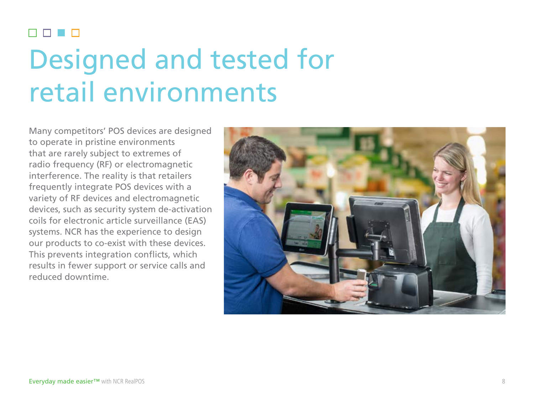#### n n n Designed and tested for retail environments

Many competitors' POS devices are designed to operate in pristine environments that are rarely subject to extremes of radio frequency (RF) or electromagnetic interference. The reality is that retailers frequently integrate POS devices with a variety of RF devices and electromagnetic devices, such as security system de-activation coils for electronic article surveillance (EAS) systems. NCR has the experience to design our products to co-exist with these devices. This prevents integration conflicts, which results in fewer support or service calls and reduced downtime.

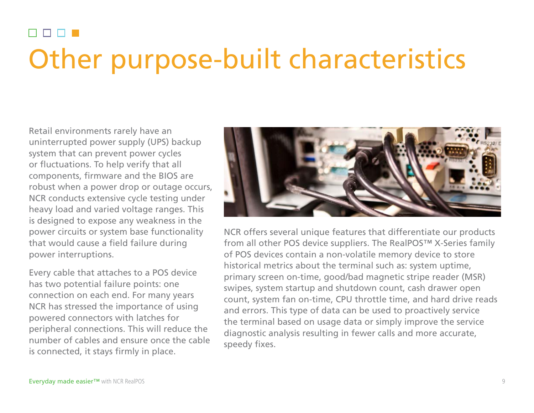#### **RR RR** Other purpose-built characteristics

Retail environments rarely have an uninterrupted power supply (UPS) backup system that can prevent power cycles or fluctuations. To help verify that all components, firmware and the BIOS are robust when a power drop or outage occurs, NCR conducts extensive cycle testing under heavy load and varied voltage ranges. This is designed to expose any weakness in the power circuits or system base functionality that would cause a field failure during power interruptions.

Every cable that attaches to a POS device has two potential failure points: one connection on each end. For many years NCR has stressed the importance of using powered connectors with latches for peripheral connections. This will reduce the number of cables and ensure once the cable is connected, it stays firmly in place.



NCR offers several unique features that differentiate our products from all other POS device suppliers. The RealPOS™ X-Series family of POS devices contain a non-volatile memory device to store historical metrics about the terminal such as: system uptime, primary screen on-time, good/bad magnetic stripe reader (MSR) swipes, system startup and shutdown count, cash drawer open count, system fan on-time, CPU throttle time, and hard drive reads and errors. This type of data can be used to proactively service the terminal based on usage data or simply improve the service diagnostic analysis resulting in fewer calls and more accurate, speedy fixes.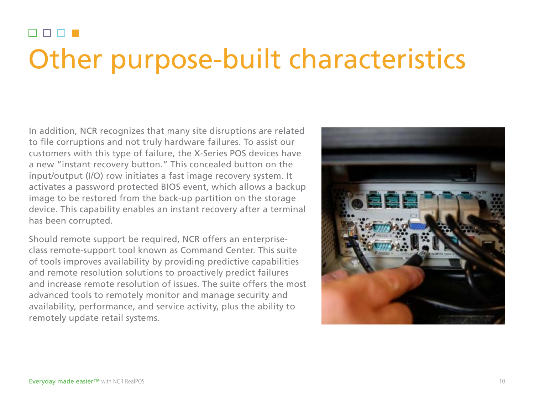#### n n n n Other purpose-built characteristics

In addition, NCR recognizes that many site disruptions are related to file corruptions and not truly hardware failures. To assist our customers with this type of failure, the X-Series POS devices have a new "instant recovery button." This concealed button on the input/output (I/O) row initiates a fast image recovery system. It activates a password protected BIOS event, which allows a backup image to be restored from the back-up partition on the storage device. This capability enables an instant recovery after a terminal has been corrupted.

Should remote support be required, NCR offers an enterpriseclass remote-support tool known as Command Center. This suite of tools improves availability by providing predictive capabilities and remote resolution solutions to proactively predict failures and increase remote resolution of issues. The suite offers the most advanced tools to remotely monitor and manage security and availability, performance, and service activity, plus the ability to remotely update retail systems.

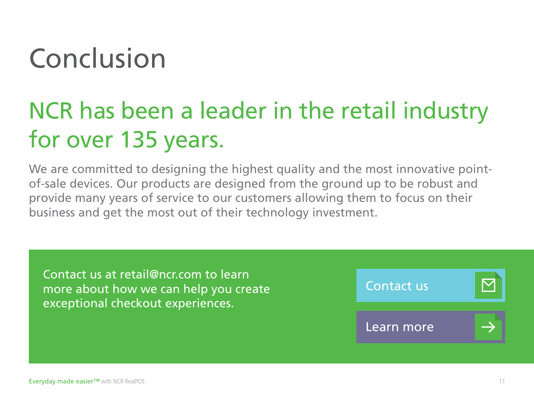# Conclusion

### NCR has been a leader in the retail industry for over 135 years.

We are committed to designing the highest quality and the most innovative pointof-sale devices. Our products are designed from the ground up to be robust and provide many years of service to our customers allowing them to focus on their business and get the most out of their technology investment.

Contact us at retail@ncr.com to learn more about how we can help you create exceptional checkout experiences.